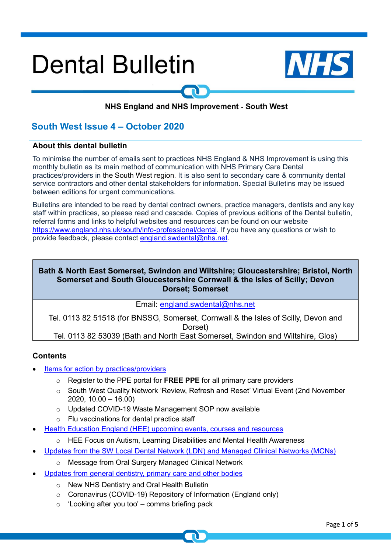# **Dental Bulletin**



# NHS England and NHS Improvement - South West

# **South West Issue 4 – October 2020**

#### **About this dental bulletin**

To minimise the number of emails sent to practices NHS England & NHS Improvement is using this monthly bulletin as its main method of communication with NHS Primary Care Dental practices/providers in the South West region. It is also sent to secondary care & community dental service contractors and other dental stakeholders for information. Special Bulletins may be issued between editions for urgent communications.

Bulletins are intended to be read by dental contract owners, practice managers, dentists and any key staff within practices, so please read and cascade. Copies of previous editions of the Dental bulletin, referral forms and links to helpful websites and resources can be found on our website [https://www.england.nhs.uk/south/info-professional/dental.](https://www.england.nhs.uk/south/info-professional/dental) If you have any questions or wish to provide feedback, please contact [england.swdental@nhs.net.](mailto:england.swdental@nhs.net)

#### **Bath & North East Somerset, Swindon and Wiltshire; Gloucestershire; Bristol, North Somerset and South Gloucestershire Cornwall & the Isles of Scilly; Devon Dorset; Somerset**

Email: [england.swdental@nhs.net](mailto:england.swdental@nhs.net)

Tel. 0113 82 51518 (for BNSSG, Somerset, Cornwall & the Isles of Scilly, Devon and Dorset) Tel. 0113 82 53039 (Bath and North East Somerset, Swindon and Wiltshire, Glos)

#### <span id="page-0-0"></span>**Contents**

- Items for [action by practices/providers](#page-1-0)
	- o Register to the PPE portal for **FREE PPE** for all primary care providers
	- o South West Quality Network 'Review, Refresh and Reset' Virtual Event (2nd November 2020, 10.00 – 16.00)
	- o Updated COVID-19 Waste Management SOP now available
	- o Flu vaccinations for dental practice staff
- Health Education England (HEE) upcoming events, courses and resources
	- o HEE Focus on Autism, Learning Disabilities and Mental Health Awareness
- [Updates from the SW Local Dental Network \(LDN\) and Managed Clinical Networks \(MCNs\)](#page-2-0)
	- o Message from Oral Surgery Managed Clinical Network
- Updates from general dentistry, primary care and other bodies
	- o New NHS Dentistry and Oral Health Bulletin
	- o Coronavirus (COVID-19) Repository of Information (England only)
	- $\circ$  'Looking after you too' comms briefing pack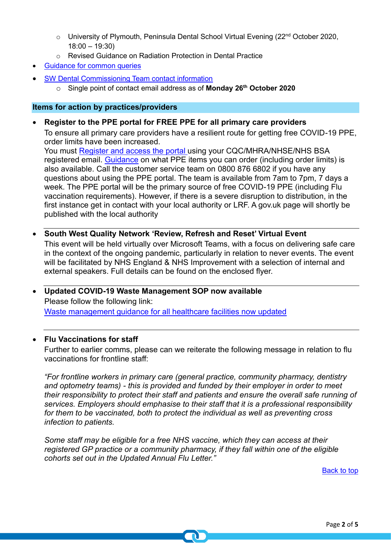- $\circ$  University of Plymouth, Peninsula Dental School Virtual Evening (22<sup>nd</sup> October 2020, 18:00 – 19:30)
- o Revised Guidance on Radiation Protection in Dental Practice
- [Guidance for common queries](#page-3-0)
- SW Dental Commissioning Team contact information
	- o Single point of contact email address as of **Monday 26th October 2020**

#### <span id="page-1-0"></span>**Items for action by practices/providers**

• **Register to the PPE portal for FREE PPE for all primary care providers**

To ensure all primary care providers have a resilient route for getting free COVID-19 PPE, order limits have been increased.

You must [Register and access the portal](https://generalpracticebulletin.cmail20.com/t/d-l-ctrjke-jujkhykrjy-y/) using your CQC/MHRA/NHSE/NHS BSA registered email. [Guidance](https://generalpracticebulletin.cmail20.com/t/d-l-ctrjke-jujkhykrjy-j/) on what PPE items you can order (including order limits) is also available. Call the customer service team on 0800 876 6802 if you have any questions about using the PPE portal. The team is available from 7am to 7pm, 7 days a week. The PPE portal will be the primary source of free COVID-19 PPE (including Flu vaccination requirements). However, if there is a severe disruption to distribution, in the first instance get in contact with your local authority or LRF. A gov.uk page will shortly be published with the local authority

- **South West Quality Network 'Review, Refresh and Reset' Virtual Event**  This event will be held virtually over Microsoft Teams, with a focus on delivering safe care in the context of the ongoing pandemic, particularly in relation to never events. The event will be facilitated by NHS England & NHS Improvement with a selection of internal and external speakers. Full details can be found on the enclosed flyer.
- **Updated COVID-19 Waste Management SOP now available**  Please follow the following link: [Waste management guidance for all healthcare facilities now updated](http://www.networks.nhs.uk/networks/news/waste-management-guidance-for-all-healthcare-facilities-now-updated)

#### • **Flu Vaccinations for staff**

Further to earlier comms, please can we reiterate the following message in relation to flu vaccinations for frontline staff:

*"For frontline workers in primary care (general practice, community pharmacy, dentistry and optometry teams) - this is provided and funded by their employer in order to meet their responsibility to protect their staff and patients and ensure the overall safe running of services. Employers should emphasise to their staff that it is a professional responsibility for them to be vaccinated, both to protect the individual as well as preventing cross infection to patients.* 

*Some staff may be eligible for a free NHS vaccine, which they can access at their registered GP practice or a community pharmacy, if they fall within one of the eligible cohorts set out in the Updated Annual Flu Letter."*

[Back to top](#page-0-0)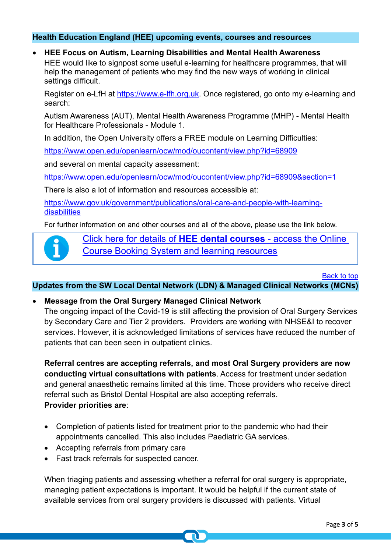#### **Health Education England (HEE) upcoming events, courses and resources**

#### • **HEE Focus on Autism, Learning Disabilities and Mental Health Awareness**

HEE would like to signpost some useful e-learning for healthcare programmes, that will help the management of patients who may find the new ways of working in clinical settings difficult.

Register on e-LfH at [https://www.e-lfh.org.uk.](https://www.e-lfh.org.uk/) Once registered, go onto my e-learning and search:

Autism Awareness (AUT), Mental Health Awareness Programme (MHP) - Mental Health for Healthcare Professionals - Module 1.

In addition, the Open University offers a FREE module on Learning Difficulties:

<https://www.open.edu/openlearn/ocw/mod/oucontent/view.php?id=68909>

and several on mental capacity assessment:

[https://www.open.edu/openlearn/ocw/mod/oucontent/view.php?id=68909&section=1](https://www.open.edu/openlearn/ocw/mod/oucontent/view.php?id=68909§ion=1)

There is also a lot of information and resources accessible at:

[https://www.gov.uk/government/publications/oral-care-and-people-with-learning](https://www.gov.uk/government/publications/oral-care-and-people-with-learning-disabilities)[disabilities](https://www.gov.uk/government/publications/oral-care-and-people-with-learning-disabilities)

For further information on and other courses and all of the above, please use the link below.

[Click here for details of](http://www.dental.southwest.hee.nhs.uk/about-us/dental-courses/) **HEE dental courses** - access the Online [Course Booking System and learning resources](http://www.dental.southwest.hee.nhs.uk/about-us/dental-courses/)

[Back to top](#page-0-0)

### <span id="page-2-0"></span>**Updates from the SW Local Dental Network (LDN) & Managed Clinical Networks (MCNs)**

#### • **Message from the Oral Surgery Managed Clinical Network**

The ongoing impact of the Covid-19 is still affecting the provision of Oral Surgery Services by Secondary Care and Tier 2 providers. Providers are working with NHSE&I to recover services. However, it is acknowledged limitations of services have reduced the number of patients that can been seen in outpatient clinics.

**Referral centres are accepting referrals, and most Oral Surgery providers are now conducting virtual consultations with patients**. Access for treatment under sedation and general anaesthetic remains limited at this time. Those providers who receive direct referral such as Bristol Dental Hospital are also accepting referrals. **Provider priorities are**:

- Completion of patients listed for treatment prior to the pandemic who had their appointments cancelled. This also includes Paediatric GA services.
- Accepting referrals from primary care
- Fast track referrals for suspected cancer.

When triaging patients and assessing whether a referral for oral surgery is appropriate, managing patient expectations is important. It would be helpful if the current state of available services from oral surgery providers is discussed with patients. Virtual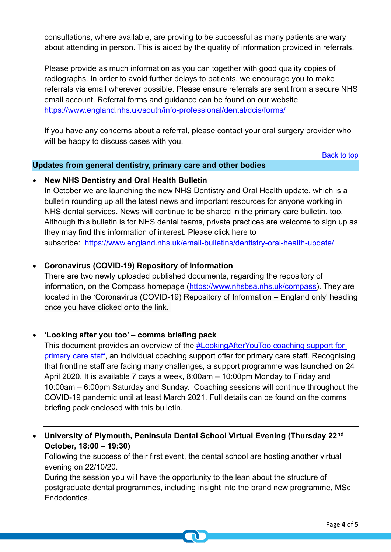consultations, where available, are proving to be successful as many patients are wary about attending in person. This is aided by the quality of information provided in referrals.

Please provide as much information as you can together with good quality copies of radiographs. In order to avoid further delays to patients, we encourage you to make referrals via email wherever possible. Please ensure referrals are sent from a secure NHS email account. Referral forms and guidance can be found on our website <https://www.england.nhs.uk/south/info-professional/dental/dcis/forms/>

If you have any concerns about a referral, please contact your oral surgery provider who will be happy to discuss cases with you.

[Back to top](#page-0-0)

#### **Updates from general dentistry, primary care and other bodies**

### <span id="page-3-0"></span>• **New NHS Dentistry and Oral Health Bulletin**

In October we are launching the new NHS Dentistry and Oral Health update, which is a bulletin rounding up all the latest news and important resources for anyone working in NHS dental services. News will continue to be shared in the primary care bulletin, too. Although this bulletin is for NHS dental teams, private practices are welcome to sign up as they may find this information of interest. Please click here to subscribe: <https://www.england.nhs.uk/email-bulletins/dentistry-oral-health-update/>

# • **Coronavirus (COVID-19) Repository of Information**

There are two newly uploaded published documents, regarding the repository of information, on the Compass homepage [\(https://www.nhsbsa.nhs.uk/compass\)](https://www.nhsbsa.nhs.uk/compass). They are located in the 'Coronavirus (COVID-19) Repository of Information – England only' heading once you have clicked onto the link.

#### • **'Looking after you too' – comms briefing pack**

This document provides an overview of the [#LookingAfterYouToo coaching support for](https://people.nhs.uk/lookingafteryoutoo/)  [primary care staff,](https://people.nhs.uk/lookingafteryoutoo/) an individual coaching support offer for primary care staff. Recognising that frontline staff are facing many challenges, a support programme was launched on 24 April 2020. It is available 7 days a week, 8:00am – 10:00pm Monday to Friday and 10:00am – 6:00pm Saturday and Sunday. Coaching sessions will continue throughout the COVID-19 pandemic until at least March 2021. Full details can be found on the comms briefing pack enclosed with this bulletin.

• **University of Plymouth, Peninsula Dental School Virtual Evening (Thursday 22nd October, 18:00 – 19:30)**

Following the success of their first event, the dental school are hosting another virtual evening on 22/10/20.

During the session you will have the opportunity to the lean about the structure of postgraduate dental programmes, including insight into the brand new programme, MSc Endodontics.